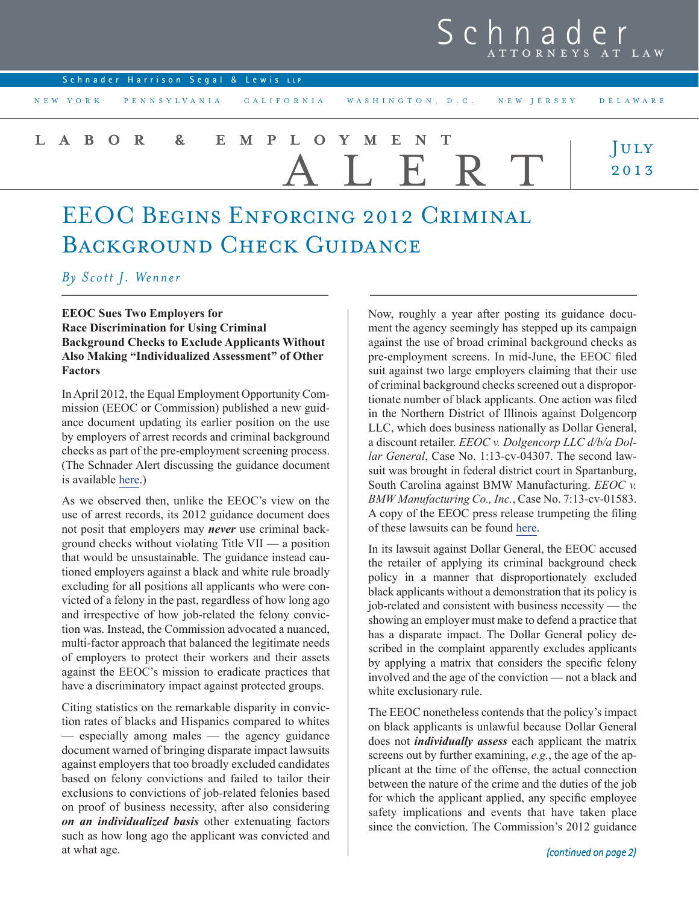# Schnad ATTORNEYS AT LAW

| Schnader Harrison Segal & Lewis LLP                                   |       |                                                                |
|-----------------------------------------------------------------------|-------|----------------------------------------------------------------|
| NEW YORK PENNSYLVANIA CALIFORNIA WASHINGTON, D.C. NEW JERSEY DELAWARE |       |                                                                |
| LABOR & EMPLOYMENT                                                    | ALERT | $\begin{array}{c} \bigcup \text{ULY} \ 2\,0\,1\,3 \end{array}$ |

# EEOC Begins Enforcing 2012 Criminal BACKGROUND CHECK GUIDANCE

# *By Scott J. Wenner*

# **EEOC Sues Two Employers for Race Discrimination for Using Criminal Background Checks to Exclude Applicants Without Also Making "Individualized Assessment" of Other Factors**

In April 2012, the Equal Employment Opportunity Commission (EEOC or Commission) published a new guidance document updating its earlier position on the use by employers of arrest records and criminal background checks as part of the pre-employment screening process. (The Schnader Alert discussing the guidance document is available [here](http://www.schnader.com/pubs/xprPubDetail.aspx%3FxpST%3DPubDetail%26pub%3D919).)

As we observed then, unlike the EEOC's view on the use of arrest records, its 2012 guidance document does not posit that employers may *never* use criminal background checks without violating Title VII — a position that would be unsustainable. The guidance instead cautioned employers against a black and white rule broadly excluding for all positions all applicants who were convicted of a felony in the past, regardless of how long ago and irrespective of how job-related the felony conviction was. Instead, the Commission advocated a nuanced, multi-factor approach that balanced the legitimate needs of employers to protect their workers and their assets against the EEOC's mission to eradicate practices that have a discriminatory impact against protected groups.

Citing statistics on the remarkable disparity in conviction rates of blacks and Hispanics compared to whites — especially among males — the agency guidance document warned of bringing disparate impact lawsuits against employers that too broadly excluded candidates based on felony convictions and failed to tailor their exclusions to convictions of job-related felonies based on proof of business necessity, after also considering *on an individualized basis* other extenuating factors such as how long ago the applicant was convicted and at what age.

Now, roughly a year after posting its guidance document the agency seemingly has stepped up its campaign against the use of broad criminal background checks as pre-employment screens. In mid-June, the EEOC filed suit against two large employers claiming that their use of criminal background checks screened out a disproportionate number of black applicants. One action was filed in the Northern District of Illinois against Dolgencorp LLC, which does business nationally as Dollar General, a discount retailer. *EEOC v. Dolgencorp LLC d/b/a Dollar General*, Case No. 1:13-cv-04307. The second lawsuit was brought in federal district court in Spartanburg, South Carolina against BMW Manufacturing. *EEOC v. BMW Manufacturing Co., Inc.*, Case No. 7:13-cv-01583. A copy of the EEOC press release trumpeting the filing of these lawsuits can be found [here](http://www.eeoc.gov/eeoc/newsroom/release/6-11-13.cfm).

In its lawsuit against Dollar General, the EEOC accused the retailer of applying its criminal background check policy in a manner that disproportionately excluded black applicants without a demonstration that its policy is job-related and consistent with business necessity — the showing an employer must make to defend a practice that has a disparate impact. The Dollar General policy described in the complaint apparently excludes applicants by applying a matrix that considers the specific felony involved and the age of the conviction — not a black and white exclusionary rule.

The EEOC nonetheless contends that the policy's impact on black applicants is unlawful because Dollar General does not *individually assess* each applicant the matrix screens out by further examining, *e.g.*, the age of the applicant at the time of the offense, the actual connection between the nature of the crime and the duties of the job for which the applicant applied, any specific employee safety implications and events that have taken place since the conviction. The Commission's 2012 guidance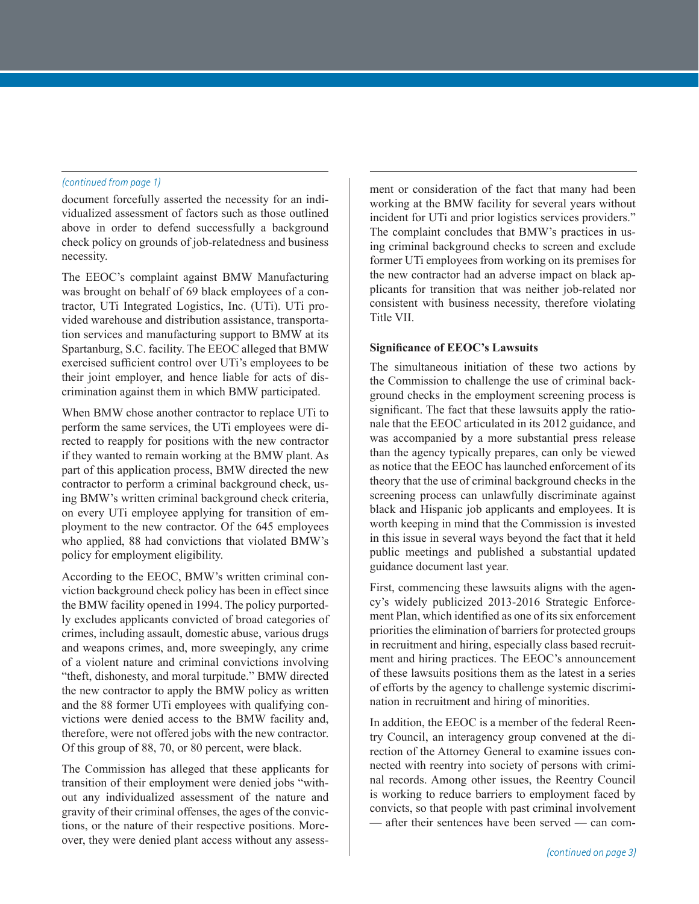document forcefully asserted the necessity for an individualized assessment of factors such as those outlined above in order to defend successfully a background check policy on grounds of job-relatedness and business necessity.

The EEOC's complaint against BMW Manufacturing was brought on behalf of 69 black employees of a contractor, UTi Integrated Logistics, Inc. (UTi). UTi provided warehouse and distribution assistance, transportation services and manufacturing support to BMW at its Spartanburg, S.C. facility. The EEOC alleged that BMW exercised sufficient control over UTi's employees to be their joint employer, and hence liable for acts of discrimination against them in which BMW participated.

When BMW chose another contractor to replace UTi to perform the same services, the UTi employees were directed to reapply for positions with the new contractor if they wanted to remain working at the BMW plant. As part of this application process, BMW directed the new contractor to perform a criminal background check, using BMW's written criminal background check criteria, on every UTi employee applying for transition of employment to the new contractor. Of the 645 employees who applied, 88 had convictions that violated BMW's policy for employment eligibility.

According to the EEOC, BMW's written criminal conviction background check policy has been in effect since the BMW facility opened in 1994. The policy purportedly excludes applicants convicted of broad categories of crimes, including assault, domestic abuse, various drugs and weapons crimes, and, more sweepingly, any crime of a violent nature and criminal convictions involving "theft, dishonesty, and moral turpitude." BMW directed the new contractor to apply the BMW policy as written and the 88 former UTi employees with qualifying convictions were denied access to the BMW facility and, therefore, were not offered jobs with the new contractor. Of this group of 88, 70, or 80 percent, were black.

The Commission has alleged that these applicants for transition of their employment were denied jobs "without any individualized assessment of the nature and gravity of their criminal offenses, the ages of the convictions, or the nature of their respective positions. Moreover, they were denied plant access without any assess-

*(continued from page 1)* ment or consideration of the fact that many had been working at the BMW facility for several years without incident for UTi and prior logistics services providers." The complaint concludes that BMW's practices in using criminal background checks to screen and exclude former UTi employees from working on its premises for the new contractor had an adverse impact on black applicants for transition that was neither job-related nor consistent with business necessity, therefore violating Title VII.

## **Significance of EEOC's Lawsuits**

The simultaneous initiation of these two actions by the Commission to challenge the use of criminal background checks in the employment screening process is significant. The fact that these lawsuits apply the rationale that the EEOC articulated in its 2012 guidance, and was accompanied by a more substantial press release than the agency typically prepares, can only be viewed as notice that the EEOC has launched enforcement of its theory that the use of criminal background checks in the screening process can unlawfully discriminate against black and Hispanic job applicants and employees. It is worth keeping in mind that the Commission is invested in this issue in several ways beyond the fact that it held public meetings and published a substantial updated guidance document last year.

First, commencing these lawsuits aligns with the agency's widely publicized 2013-2016 Strategic Enforcement Plan, which identified as one of its six enforcement priorities the elimination of barriers for protected groups in recruitment and hiring, especially class based recruitment and hiring practices. The EEOC's announcement of these lawsuits positions them as the latest in a series of efforts by the agency to challenge systemic discrimination in recruitment and hiring of minorities.

In addition, the EEOC is a member of the federal Reentry Council, an interagency group convened at the direction of the Attorney General to examine issues connected with reentry into society of persons with criminal records. Among other issues, the Reentry Council is working to reduce barriers to employment faced by convicts, so that people with past criminal involvement — after their sentences have been served — can com-